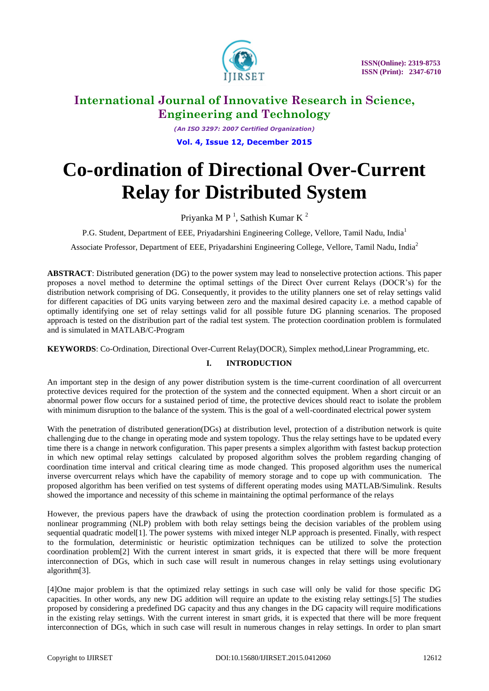

*(An ISO 3297: 2007 Certified Organization)* **Vol. 4, Issue 12, December 2015**

# **Co-ordination of Directional Over-Current Relay for Distributed System**

Priyanka M P<sup>1</sup>, Sathish Kumar K<sup>2</sup>

P.G. Student, Department of EEE, Privadarshini Engineering College, Vellore, Tamil Nadu, India<sup>1</sup>

Associate Professor, Department of EEE, Priyadarshini Engineering College, Vellore, Tamil Nadu, India<sup>2</sup>

**ABSTRACT**: Distributed generation (DG) to the power system may lead to nonselective protection actions. This paper proposes a novel method to determine the optimal settings of the Direct Over current Relays (DOCR's) for the distribution network comprising of DG. Consequently, it provides to the utility planners one set of relay settings valid for different capacities of DG units varying between zero and the maximal desired capacity i.e. a method capable of optimally identifying one set of relay settings valid for all possible future DG planning scenarios. The proposed approach is tested on the distribution part of the radial test system. The protection coordination problem is formulated and is simulated in MATLAB/C-Program

**KEYWORDS**: Co-Ordination, Directional Over-Current Relay(DOCR), Simplex method,Linear Programming, etc.

### **I. INTRODUCTION**

An important step in the design of any power distribution system is the time-current coordination of all overcurrent protective devices required for the protection of the system and the connected equipment. When a short circuit or an abnormal power flow occurs for a sustained period of time, the protective devices should react to isolate the problem with minimum disruption to the balance of the system. This is the goal of a well-coordinated electrical power system

With the penetration of distributed generation(DGs) at distribution level, protection of a distribution network is quite challenging due to the change in operating mode and system topology. Thus the relay settings have to be updated every time there is a change in network configuration. This paper presents a simplex algorithm with fastest backup protection in which new optimal relay settings calculated by proposed algorithm solves the problem regarding changing of coordination time interval and critical clearing time as mode changed. This proposed algorithm uses the numerical inverse overcurrent relays which have the capability of memory storage and to cope up with communication. The proposed algorithm has been verified on test systems of different operating modes using MATLAB/Simulink. Results showed the importance and necessity of this scheme in maintaining the optimal performance of the relays

However, the previous papers have the drawback of using the protection coordination problem is formulated as a nonlinear programming (NLP) problem with both relay settings being the decision variables of the problem using sequential quadratic model[1]. The power systems with mixed integer NLP approach is presented. Finally, with respect to the formulation, deterministic or heuristic optimization techniques can be utilized to solve the protection coordination problem[2] With the current interest in smart grids, it is expected that there will be more frequent interconnection of DGs, which in such case will result in numerous changes in relay settings using evolutionary algorithm[3].

[4]One major problem is that the optimized relay settings in such case will only be valid for those specific DG capacities. In other words, any new DG addition will require an update to the existing relay settings.[5] The studies proposed by considering a predefined DG capacity and thus any changes in the DG capacity will require modifications in the existing relay settings. With the current interest in smart grids, it is expected that there will be more frequent interconnection of DGs, which in such case will result in numerous changes in relay settings. In order to plan smart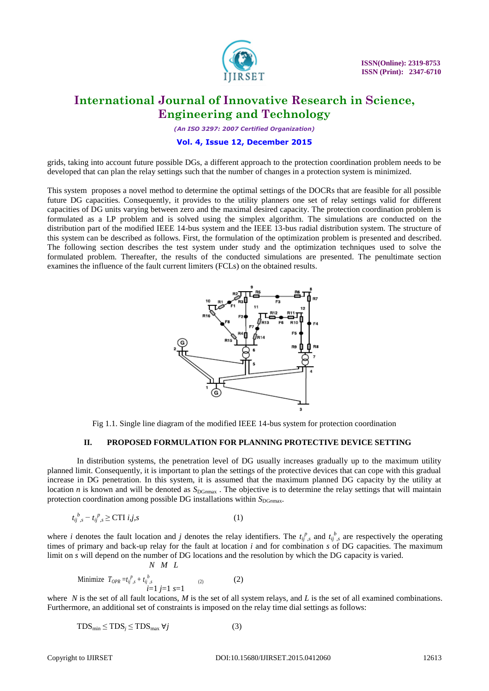

*(An ISO 3297: 2007 Certified Organization)*

#### **Vol. 4, Issue 12, December 2015**

grids, taking into account future possible DGs, a different approach to the protection coordination problem needs to be developed that can plan the relay settings such that the number of changes in a protection system is minimized.

This system proposes a novel method to determine the optimal settings of the DOCRs that are feasible for all possible future DG capacities. Consequently, it provides to the utility planners one set of relay settings valid for different capacities of DG units varying between zero and the maximal desired capacity. The protection coordination problem is formulated as a LP problem and is solved using the simplex algorithm. The simulations are conducted on the distribution part of the modified IEEE 14-bus system and the IEEE 13-bus radial distribution system. The structure of this system can be described as follows. First, the formulation of the optimization problem is presented and described. The following section describes the test system under study and the optimization techniques used to solve the formulated problem. Thereafter, the results of the conducted simulations are presented. The penultimate section examines the influence of the fault current limiters (FCLs) on the obtained results.



Fig 1.1. Single line diagram of the modified IEEE 14-bus system for protection coordination

#### **II. PROPOSED FORMULATION FOR PLANNING PROTECTIVE DEVICE SETTING**

In distribution systems, the penetration level of DG usually increases gradually up to the maximum utility planned limit. Consequently, it is important to plan the settings of the protective devices that can cope with this gradual increase in DG penetration. In this system, it is assumed that the maximum planned DG capacity by the utility at location *n* is known and will be denoted as  $S_{\text{DG}max}$ . The objective is to determine the relay settings that will maintain protection coordination among possible DG installations within  $S_{\text{DG}n\text{max}}$ .

$$
t_{ij}^{\ b}{}_{,s} - t_{ij}^{\ p}{}_{,s} \geq CTI \ i,j,s \tag{1}
$$

where *i* denotes the fault location and *j* denotes the relay identifiers. The  $t_i^p$  and  $t_i^b$  are respectively the operating times of primary and back-up relay for the fault at location *i* and for combination *s* of DG capacities. The maximum limit on *s* will depend on the number of DG locations and the resolution by which the DG capacity is varied.

Minimize 
$$
T_{OPR} = t_{ij}^p s + t_{ij,s}^b
$$
 (2)  
 $i=1 j=1 s=1$ 

*N M L*

where *N* is the set of all fault locations, *M* is the set of all system relays, and *L* is the set of all examined combinations. Furthermore, an additional set of constraints is imposed on the relay time dial settings as follows:

$$
TDS_{\min} \leq TDS_j \leq TDS_{\max} \ \forall j \tag{3}
$$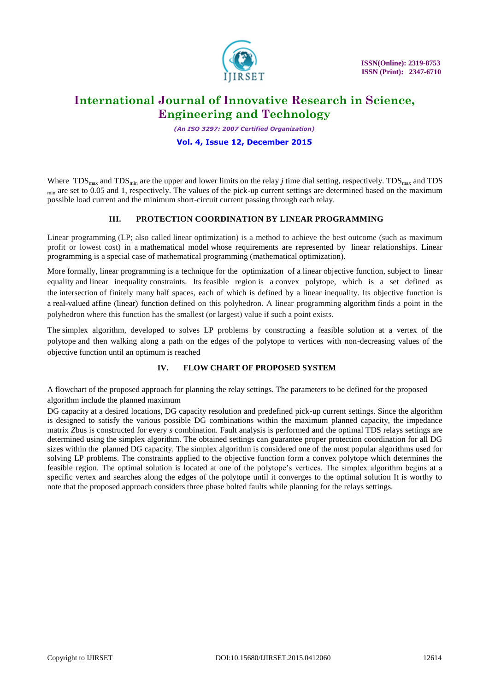

*(An ISO 3297: 2007 Certified Organization)*

#### **Vol. 4, Issue 12, December 2015**

Where  $TDS_{\text{max}}$  and  $TDS_{\text{min}}$  are the upper and lower limits on the relay *j* time dial setting, respectively. TDS<sub>max</sub> and TDS  $_{\text{min}}$  are set to 0.05 and 1, respectively. The values of the pick-up current settings are determined based on the maximum possible load current and the minimum short-circuit current passing through each relay.

#### **III. PROTECTION COORDINATION BY LINEAR PROGRAMMING**

Linear programming (LP; also called linear optimization) is a method to achieve the best outcome (such as maximum profit or lowest cost) in a [mathematical model](https://en.wikipedia.org/wiki/Mathematical_model) whose requirements are represented by [linear relationships.](https://en.wikipedia.org/wiki/Linear_function#As_a_polynomial_function) Linear programming is a special case of mathematical programming [\(mathematical optimization\)](https://en.wikipedia.org/wiki/Mathematical_optimization).

More formally, linear programming is a technique for the [optimization](https://en.wikipedia.org/wiki/Mathematical_optimization) of a [linear](https://en.wikipedia.org/wiki/Linear) [objective function,](https://en.wikipedia.org/wiki/Objective_function) subject to [linear](https://en.wikipedia.org/wiki/Linear_equality)  [equality](https://en.wikipedia.org/wiki/Linear_equality) and [linear inequality](https://en.wikipedia.org/wiki/Linear_inequality) [constraints.](https://en.wikipedia.org/wiki/Constraint_(mathematics)) Its [feasible region](https://en.wikipedia.org/wiki/Feasible_region) is a [convex polytope,](https://en.wikipedia.org/wiki/Convex_polytope) which is a set defined as the [intersection](https://en.wikipedia.org/wiki/Intersection_(mathematics)) of finitely many [half spaces,](https://en.wikipedia.org/wiki/Half-space_(geometry)) each of which is defined by a linear inequality. Its objective function is a [real-](https://en.wikipedia.org/wiki/Real_number)valued [affine \(linear\) function](https://en.wikipedia.org/wiki/Affine_function) defined on this polyhedron. A linear programming [algorithm](https://en.wikipedia.org/wiki/Algorithm) finds a point in the polyhedron where this function has the smallest (or largest) value if such a point exists.

The [simplex algorithm,](https://en.wikipedia.org/wiki/Simplex_algorithm) developed to solves LP problems by constructing a feasible solution at a vertex of the [polytope](https://en.wikipedia.org/wiki/Polytope) and then walking along a path on the edges of the polytope to vertices with non-decreasing values of the objective function until an optimum is reached

### **IV. FLOW CHART OF PROPOSED SYSTEM**

A flowchart of the proposed approach for planning the relay settings. The parameters to be defined for the proposed algorithm include the planned maximum

DG capacity at a desired locations, DG capacity resolution and predefined pick-up current settings. Since the algorithm is designed to satisfy the various possible DG combinations within the maximum planned capacity, the impedance matrix *Z*bus is constructed for every *s* combination. Fault analysis is performed and the optimal TDS relays settings are determined using the simplex algorithm. The obtained settings can guarantee proper protection coordination for all DG sizes within the planned DG capacity. The simplex algorithm is considered one of the most popular algorithms used for solving LP problems. The constraints applied to the objective function form a convex polytope which determines the feasible region. The optimal solution is located at one of the polytope's vertices. The simplex algorithm begins at a specific vertex and searches along the edges of the polytope until it converges to the optimal solution It is worthy to note that the proposed approach considers three phase bolted faults while planning for the relays settings.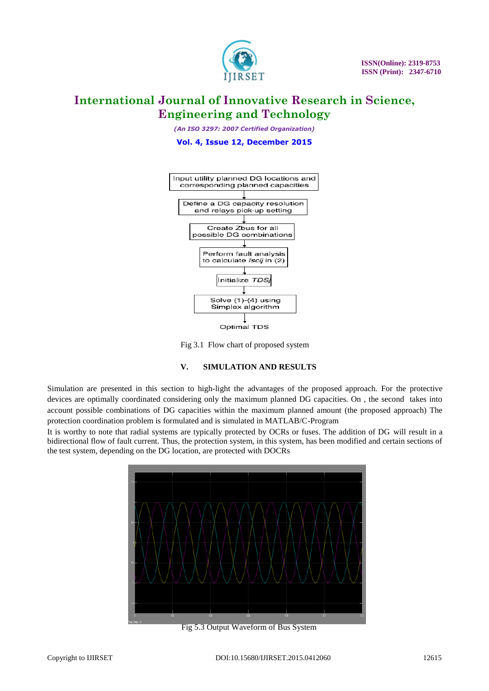

*(An ISO 3297: 2007 Certified Organization)*

**Vol. 4, Issue 12, December 2015**



Fig 3.1 Flow chart of proposed system

### **V. SIMULATION AND RESULTS**

Simulation are presented in this section to high-light the advantages of the proposed approach. For the protective devices are optimally coordinated considering only the maximum planned DG capacities. On , the second takes into account possible combinations of DG capacities within the maximum planned amount (the proposed approach) The protection coordination problem is formulated and is simulated in MATLAB/C-Program

It is worthy to note that radial systems are typically protected by OCRs or fuses. The addition of DG will result in a bidirectional flow of fault current. Thus, the protection system, in this system, has been modified and certain sections of the test system, depending on the DG location, are protected with DOCRs



Fig 5.3 Output Waveform of Bus System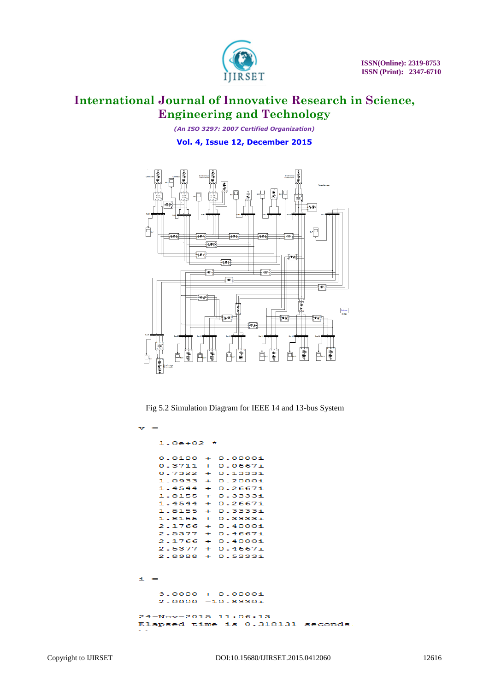

*(An ISO 3297: 2007 Certified Organization)* **Vol. 4, Issue 12, December 2015**



Fig 5.2 Simulation Diagram for IEEE 14 and 13-bus System

 $1.0e+02$  \*  $0.0100 + 0.0000i$  $0.3711 +$  $0.06671$  $0.7322$  $+ 0.1333i$ 1.0933  $+$  $0.2000i$ 1.4544  $0.2667i$  $\ddot{\phantom{1}}$ 1.8155 0.3333i  $\mathbf{H}$ 1.4544  $\rightarrow$  $0.2667i$ 1.8155 0.3333i  $\Delta \mathbf{r}$ 1.8155 0.33331 2.1766  $0.40001$  $+$ 2.5377  $0.46671$  $\mathbf{u}$ 2.1766  $0.4000i$  $+$ 2.5377  $0.4667i$  $\pm$ 2.8988 + 0.53331  $\tilde{\mathbf{u}}$  $3.0000 + 0.0000i$  $2.0000 - 10.8330i$ 24-Nov-2015 11:06:13 Elapsed time is 0.318131 seconds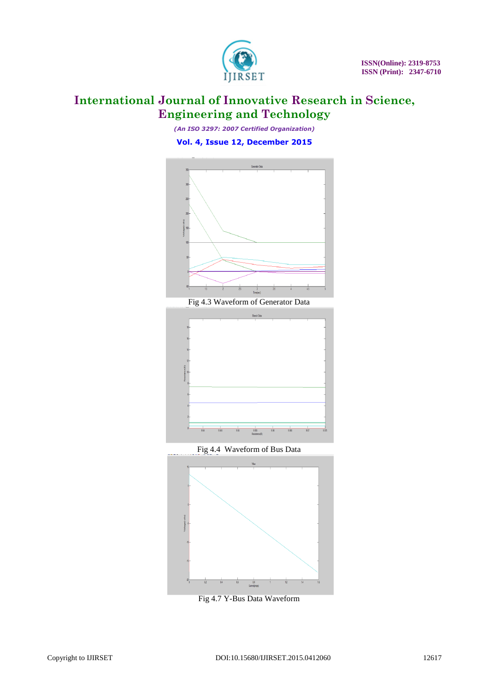

*(An ISO 3297: 2007 Certified Organization)* **Vol. 4, Issue 12, December 2015**





Fig 4.4 Waveform of Bus Data



Fig 4.7 Y-Bus Data Waveform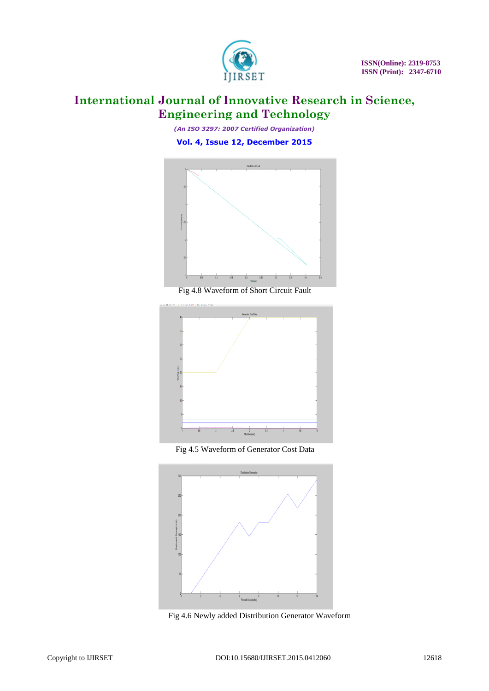

*(An ISO 3297: 2007 Certified Organization)* **Vol. 4, Issue 12, December 2015**



Fig 4.8 Waveform of Short Circuit Fault



Fig 4.5 Waveform of Generator Cost Data



Fig 4.6 Newly added Distribution Generator Waveform